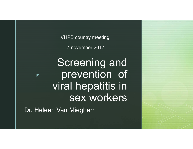VHPB country meeting

7 november 2017

◤ Screening and prevention of viral hepatitis in sex workers

Dr. Heleen Van Mieghem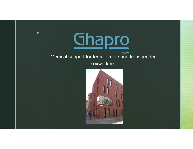

 $\blacktriangleright$ 

#### **VZW** Medical support for female,male and transgender

#### sexworkers

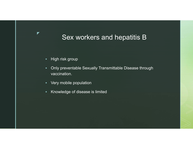### Sex workers and hepatitis B

× High risk group

 $\blacktriangledown$ 

- ٠ Only preventable Sexually Transmittable Disease through vaccination.
- ٠ Very mobile population
- ٠ Knowledge of disease is limited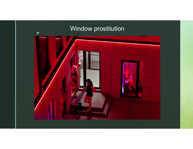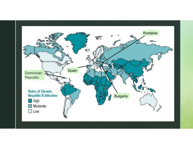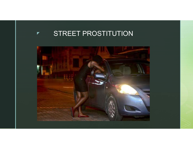#### ◤ STREET PROSTITUTION

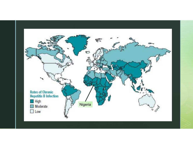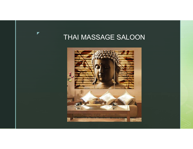# THAI MASSAGE SALOON

 $\blacktriangleright$ 

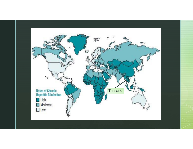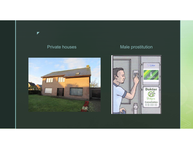#### Private houses

 $\blacktriangleright$ 

### Male prostitution



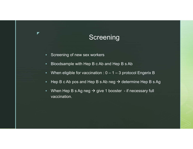## **Screening**

 $\blacksquare$ Screening of new sex workers

 $\blacktriangledown$ 

- ٠ Bloodsample with Hep B c Ab and Hep B s Ab
- ٠ When eligible for vaccination :  $0 - 1 - 3$  protocol Engerix B
- ٠ Hep B c Ab pos and Hep B s Ab neg  $\rightarrow$  determine Hep B s Ag
- $\blacksquare$ When Hep B s Ag neg  $\rightarrow$  give 1 booster - if necessary full vaccination.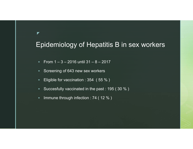### Epidemiology of Hepatitis B in sex workers

- $\mathbf{u}$  . From 1 – 3 – 2016 until 31 – 8 – 2017
- $\blacksquare$ Screening of 643 new sex workers

 $\blacktriangledown$ 

- $\bullet$  . Eligible for vaccination : 354 ( 55 % )
- $\mathbf{u}$  . Succesfully vaccinated in the past : 195 ( 30 % )
- $\blacksquare$ Immune through infection : 74 ( 12 % )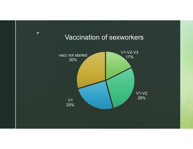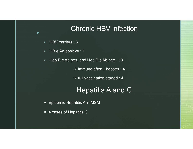### Chronic HBV infection

 $\blacksquare$ ■ HBV carriers : 6

 $\blacktriangledown$ 

- $\mathbf{r}$ HB e Ag positive : 1
- ٠ Hep B c Ab pos. and Hep B s Ab neg : 13
	- $\rightarrow$  immune after 1 booster : 4
	- $\rightarrow$  full vaccination started : 4

### Hepatitis A and C

- Epidemic Hepatitis A in MSM
- 4 cases of Hepatitis C